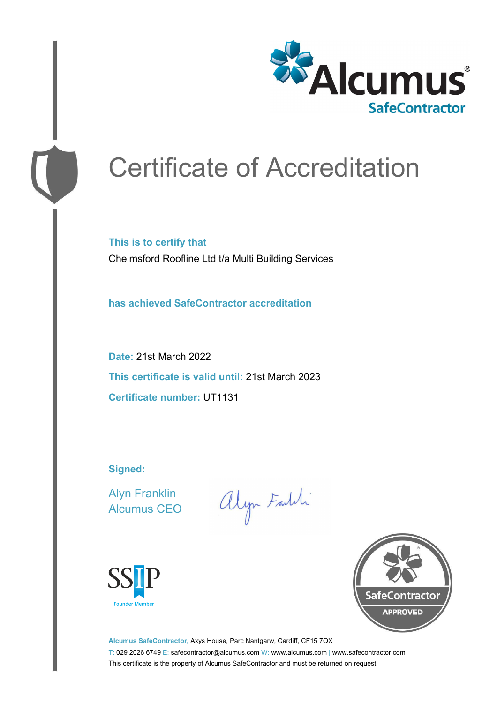

# Certificate of Accreditation

**This is to certify that** Chelmsford Roofline Ltd t/a Multi Building Services

**has achieved SafeContractor accreditation**

**Date:** 21st March 2022 **This certificate is valid until:** 21st March 2023 **Certificate number:** UT1131

**Signed:**

Alyn Franklin Alcumus CEO

alyn Faith





**Alcumus SafeContractor,** Axys House, Parc Nantgarw, Cardiff, CF15 7QX T: 029 2026 6749 E: safecontractor@alcumus.com W: www.alcumus.com | www.safecontractor.com This certificate is the property of Alcumus SafeContractor and must be returned on request